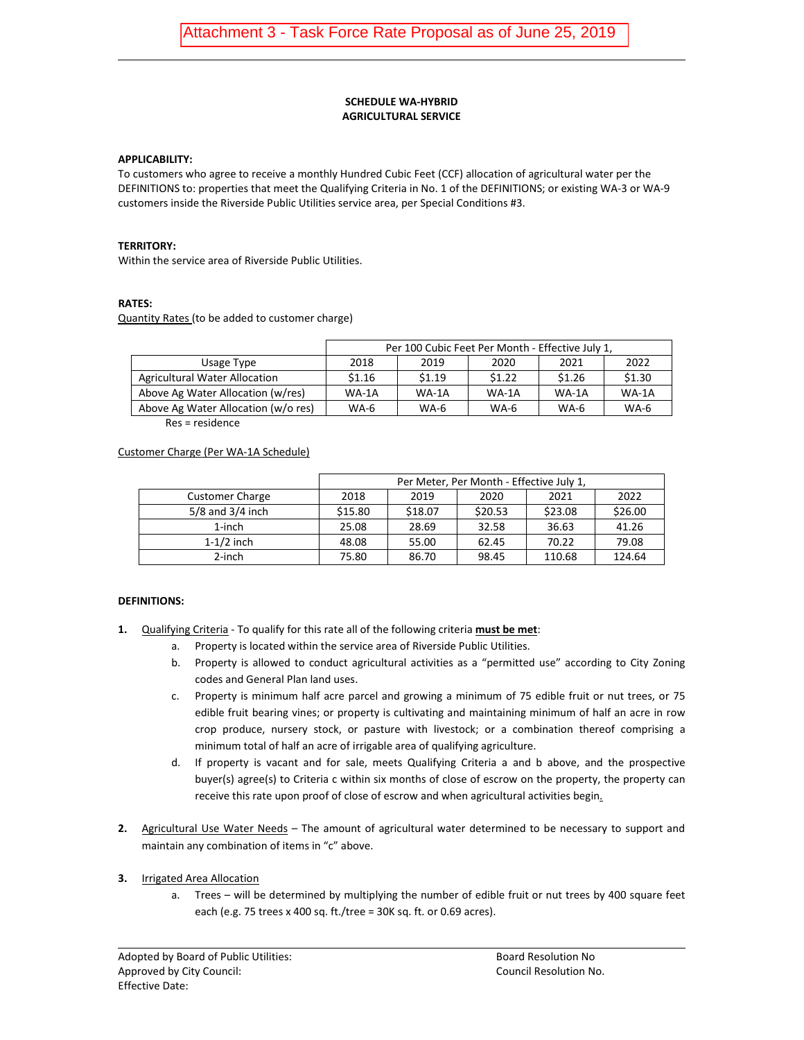#### **SCHEDULE WA-HYBRID AGRICULTURAL SERVICE**

#### **APPLICABILITY:**

To customers who agree to receive a monthly Hundred Cubic Feet (CCF) allocation of agricultural water per the DEFINITIONS to: properties that meet the Qualifying Criteria in No. 1 of the DEFINITIONS; or existing WA-3 or WA-9 customers inside the Riverside Public Utilities service area, per Special Conditions #3.

#### **TERRITORY:**

Within the service area of Riverside Public Utilities.

## **RATES:**

Quantity Rates (to be added to customer charge)

|                                     | Per 100 Cubic Feet Per Month - Effective July 1, |         |        |         |             |  |
|-------------------------------------|--------------------------------------------------|---------|--------|---------|-------------|--|
| Usage Type                          | 2018                                             | 2019    | 2020   | 2021    | 2022        |  |
| Agricultural Water Allocation       | \$1.16                                           | \$1.19  | \$1.22 | \$1.26  | \$1.30      |  |
| Above Ag Water Allocation (w/res)   | $WA-1A$                                          | $WA-1A$ | WA-1A  | $WA-1A$ | $WA-1A$     |  |
| Above Ag Water Allocation (w/o res) | WA-6                                             | $WA-6$  | $WA-6$ | $WA-6$  | <b>WA-6</b> |  |

Res = residence

## Customer Charge (Per WA-1A Schedule)

|                        | Per Meter, Per Month - Effective July 1, |         |         |         |         |  |  |
|------------------------|------------------------------------------|---------|---------|---------|---------|--|--|
| <b>Customer Charge</b> | 2018                                     | 2019    | 2020    | 2021    | 2022    |  |  |
| $5/8$ and $3/4$ inch   | \$15.80                                  | \$18.07 | \$20.53 | \$23.08 | \$26.00 |  |  |
| $1$ -inch              | 25.08                                    | 28.69   | 32.58   | 36.63   | 41.26   |  |  |
| $1-1/2$ inch           | 48.08                                    | 55.00   | 62.45   | 70.22   | 79.08   |  |  |
| $2$ -inch              | 75.80                                    | 86.70   | 98.45   | 110.68  | 124.64  |  |  |

## **DEFINITIONS:**

- **1.** Qualifying Criteria To qualify for this rate all of the following criteria **must be met**:
	- a. Property is located within the service area of Riverside Public Utilities.
	- b. Property is allowed to conduct agricultural activities as a "permitted use" according to City Zoning codes and General Plan land uses.
	- c. Property is minimum half acre parcel and growing a minimum of 75 edible fruit or nut trees, or 75 edible fruit bearing vines; or property is cultivating and maintaining minimum of half an acre in row crop produce, nursery stock, or pasture with livestock; or a combination thereof comprising a minimum total of half an acre of irrigable area of qualifying agriculture.
	- d. If property is vacant and for sale, meets Qualifying Criteria a and b above, and the prospective buyer(s) agree(s) to Criteria c within six months of close of escrow on the property, the property can receive this rate upon proof of close of escrow and when agricultural activities begin.
- **2.** Agricultural Use Water Needs The amount of agricultural water determined to be necessary to support and maintain any combination of items in "c" above.

## **3.** Irrigated Area Allocation

a. Trees – will be determined by multiplying the number of edible fruit or nut trees by 400 square feet each (e.g. 75 trees x 400 sq. ft./tree = 30K sq. ft. or 0.69 acres).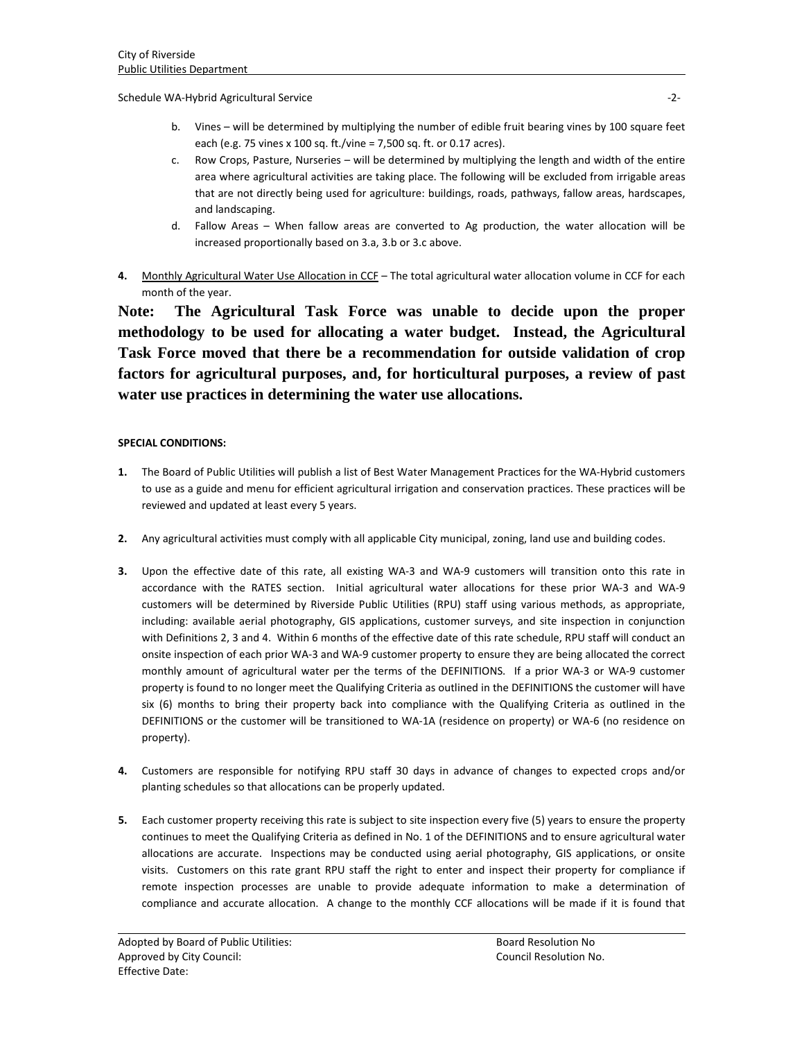Schedule WA-Hybrid Agricultural Service -2-

- b. Vines will be determined by multiplying the number of edible fruit bearing vines by 100 square feet each (e.g. 75 vines x 100 sq. ft./vine = 7,500 sq. ft. or 0.17 acres).
- c. Row Crops, Pasture, Nurseries will be determined by multiplying the length and width of the entire area where agricultural activities are taking place. The following will be excluded from irrigable areas that are not directly being used for agriculture: buildings, roads, pathways, fallow areas, hardscapes, and landscaping.
- d. Fallow Areas When fallow areas are converted to Ag production, the water allocation will be increased proportionally based on 3.a, 3.b or 3.c above.
- **4.** Monthly Agricultural Water Use Allocation in CCF The total agricultural water allocation volume in CCF for each month of the year.

**Note: The Agricultural Task Force was unable to decide upon the proper methodology to be used for allocating a water budget. Instead, the Agricultural Task Force moved that there be a recommendation for outside validation of crop factors for agricultural purposes, and, for horticultural purposes, a review of past water use practices in determining the water use allocations.**

# **SPECIAL CONDITIONS:**

- **1.** The Board of Public Utilities will publish a list of Best Water Management Practices for the WA-Hybrid customers to use as a guide and menu for efficient agricultural irrigation and conservation practices. These practices will be reviewed and updated at least every 5 years.
- **2.** Any agricultural activities must comply with all applicable City municipal, zoning, land use and building codes.
- **3.** Upon the effective date of this rate, all existing WA-3 and WA-9 customers will transition onto this rate in accordance with the RATES section. Initial agricultural water allocations for these prior WA-3 and WA-9 customers will be determined by Riverside Public Utilities (RPU) staff using various methods, as appropriate, including: available aerial photography, GIS applications, customer surveys, and site inspection in conjunction with Definitions 2, 3 and 4. Within 6 months of the effective date of this rate schedule, RPU staff will conduct an onsite inspection of each prior WA-3 and WA-9 customer property to ensure they are being allocated the correct monthly amount of agricultural water per the terms of the DEFINITIONS. If a prior WA-3 or WA-9 customer property is found to no longer meet the Qualifying Criteria as outlined in the DEFINITIONS the customer will have six (6) months to bring their property back into compliance with the Qualifying Criteria as outlined in the DEFINITIONS or the customer will be transitioned to WA-1A (residence on property) or WA-6 (no residence on property).
- **4.** Customers are responsible for notifying RPU staff 30 days in advance of changes to expected crops and/or planting schedules so that allocations can be properly updated.
- **5.** Each customer property receiving this rate is subject to site inspection every five (5) years to ensure the property continues to meet the Qualifying Criteria as defined in No. 1 of the DEFINITIONS and to ensure agricultural water allocations are accurate. Inspections may be conducted using aerial photography, GIS applications, or onsite visits. Customers on this rate grant RPU staff the right to enter and inspect their property for compliance if remote inspection processes are unable to provide adequate information to make a determination of compliance and accurate allocation. A change to the monthly CCF allocations will be made if it is found that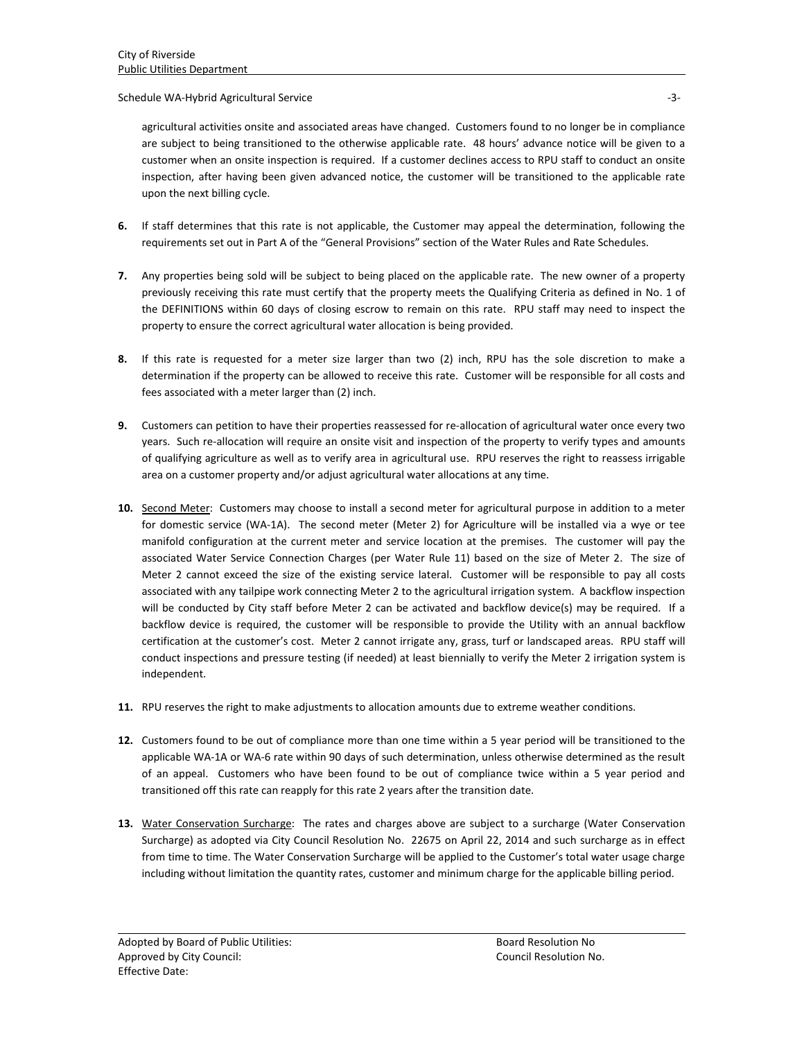Schedule WA-Hybrid Agricultural Service -3-

agricultural activities onsite and associated areas have changed. Customers found to no longer be in compliance are subject to being transitioned to the otherwise applicable rate. 48 hours' advance notice will be given to a customer when an onsite inspection is required. If a customer declines access to RPU staff to conduct an onsite inspection, after having been given advanced notice, the customer will be transitioned to the applicable rate upon the next billing cycle.

- **6.** If staff determines that this rate is not applicable, the Customer may appeal the determination, following the requirements set out in Part A of the "General Provisions" section of the Water Rules and Rate Schedules.
- **7.** Any properties being sold will be subject to being placed on the applicable rate. The new owner of a property previously receiving this rate must certify that the property meets the Qualifying Criteria as defined in No. 1 of the DEFINITIONS within 60 days of closing escrow to remain on this rate. RPU staff may need to inspect the property to ensure the correct agricultural water allocation is being provided.
- **8.** If this rate is requested for a meter size larger than two (2) inch, RPU has the sole discretion to make a determination if the property can be allowed to receive this rate. Customer will be responsible for all costs and fees associated with a meter larger than (2) inch.
- **9.** Customers can petition to have their properties reassessed for re-allocation of agricultural water once every two years. Such re-allocation will require an onsite visit and inspection of the property to verify types and amounts of qualifying agriculture as well as to verify area in agricultural use. RPU reserves the right to reassess irrigable area on a customer property and/or adjust agricultural water allocations at any time.
- **10.** Second Meter: Customers may choose to install a second meter for agricultural purpose in addition to a meter for domestic service (WA-1A). The second meter (Meter 2) for Agriculture will be installed via a wye or tee manifold configuration at the current meter and service location at the premises. The customer will pay the associated Water Service Connection Charges (per Water Rule 11) based on the size of Meter 2. The size of Meter 2 cannot exceed the size of the existing service lateral. Customer will be responsible to pay all costs associated with any tailpipe work connecting Meter 2 to the agricultural irrigation system. A backflow inspection will be conducted by City staff before Meter 2 can be activated and backflow device(s) may be required. If a backflow device is required, the customer will be responsible to provide the Utility with an annual backflow certification at the customer's cost. Meter 2 cannot irrigate any, grass, turf or landscaped areas. RPU staff will conduct inspections and pressure testing (if needed) at least biennially to verify the Meter 2 irrigation system is independent.
- **11.** RPU reserves the right to make adjustments to allocation amounts due to extreme weather conditions.
- **12.** Customers found to be out of compliance more than one time within a 5 year period will be transitioned to the applicable WA-1A or WA-6 rate within 90 days of such determination, unless otherwise determined as the result of an appeal. Customers who have been found to be out of compliance twice within a 5 year period and transitioned off this rate can reapply for this rate 2 years after the transition date.
- **13.** Water Conservation Surcharge: The rates and charges above are subject to a surcharge (Water Conservation Surcharge) as adopted via City Council Resolution No. 22675 on April 22, 2014 and such surcharge as in effect from time to time. The Water Conservation Surcharge will be applied to the Customer's total water usage charge including without limitation the quantity rates, customer and minimum charge for the applicable billing period.